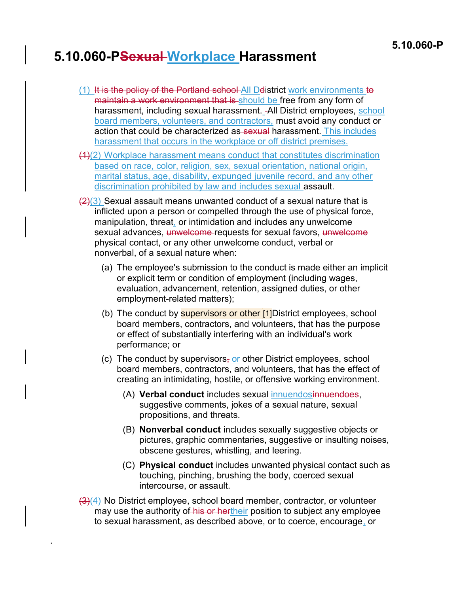## 5.10.060-PSexual Workplace Harassment

- (1) It is the policy of the Portland school All Ddistrict work environments to maintain a work environment that is should be free from any form of harassment, including sexual harassment. - All District employees, school board members, volunteers, and contractors, must avoid any conduct or action that could be characterized as sexual harassment. This includes harassment that occurs in the workplace or off district premises.
- (1)(2) Workplace harassment means conduct that constitutes discrimination based on race, color, religion, sex, sexual orientation, national origin, marital status, age, disability, expunged juvenile record, and any other discrimination prohibited by law and includes sexual assault.
- $\left\langle \frac{2}{3} \right\rangle$  Sexual assault means unwanted conduct of a sexual nature that is inflicted upon a person or compelled through the use of physical force, manipulation, threat, or intimidation and includes any unwelcome sexual advances, unwelcome requests for sexual favors, unwelcome physical contact, or any other unwelcome conduct, verbal or nonverbal, of a sexual nature when:
	- (a) The employee's submission to the conduct is made either an implicit or explicit term or condition of employment (including wages, evaluation, advancement, retention, assigned duties, or other employment-related matters);
	- (b) The conduct by **supervisors or other [1]**District employees, school board members, contractors, and volunteers, that has the purpose or effect of substantially interfering with an individual's work performance; or
	- (c) The conduct by supervisors, or other District employees, school board members, contractors, and volunteers, that has the effect of creating an intimidating, hostile, or offensive working environment.
		- (A) Verbal conduct includes sexual innuendosinnuendoes, suggestive comments, jokes of a sexual nature, sexual propositions, and threats.
		- (B) Nonverbal conduct includes sexually suggestive objects or pictures, graphic commentaries, suggestive or insulting noises, obscene gestures, whistling, and leering.
		- (C) Physical conduct includes unwanted physical contact such as touching, pinching, brushing the body, coerced sexual intercourse, or assault.
- $\frac{1}{2}(4)$  No District employee, school board member, contractor, or volunteer may use the authority of his or hertheir position to subject any employee to sexual harassment, as described above, or to coerce, encourage, or

.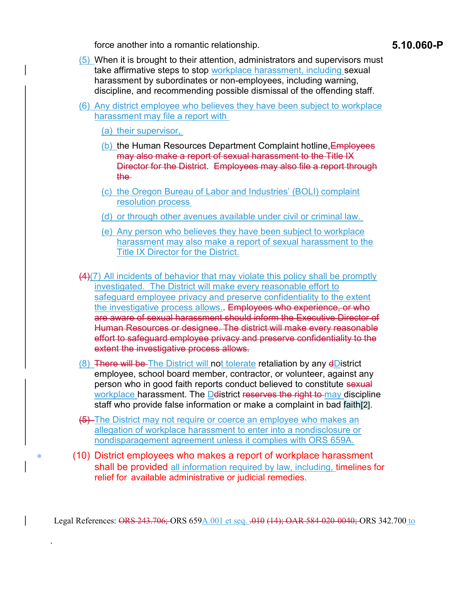force another into a romantic relationship. The state of the state of the state of the state of the state of the state of the state of the state of the state of the state of the state of the state of the state of the state

- (5) When it is brought to their attention, administrators and supervisors must take affirmative steps to stop workplace harassment, including sexual harassment by subordinates or non-employees, including warning, discipline, and recommending possible dismissal of the offending staff.
- (6) Any district employee who believes they have been subject to workplace harassment may file a report with
	- (a) their supervisor,

.

- (b) the Human Resources Department Complaint hotline, Employees may also make a report of sexual harassment to the Title IX Director for the District. Employees may also file a report through the
- (c) the Oregon Bureau of Labor and Industries' (BOLI) complaint resolution process
- (d) or through other avenues available under civil or criminal law.
- (e) Any person who believes they have been subject to workplace harassment may also make a report of sexual harassment to the Title IX Director for the District.
- (4)(7) All incidents of behavior that may violate this policy shall be promptly investigated. The District will make every reasonable effort to safeguard employee privacy and preserve confidentiality to the extent the investigative process allows. Employees who experience, or who are aware of sexual harassment should inform the Executive Director of Human Resources or designee. The district will make every reasonable effort to safeguard employee privacy and preserve confidentiality to the extent the investigative process allows.
- (8) There will be The District will not tolerate retaliation by any dDistrict employee, school board member, contractor, or volunteer, against any person who in good faith reports conduct believed to constitute sexual workplace harassment. The Delistrict reserves the right to may discipline staff who provide false information or make a complaint in bad faith[2].
- (5) The District may not require or coerce an employee who makes an allegation of workplace harassment to enter into a nondisclosure or nondisparagement agreement unless it complies with ORS 659A.
- (10) District employees who makes a report of workplace harassment shall be provided all information required by law, including, timelines for relief for available administrative or judicial remedies.

Legal References: ORS 243.706; ORS 659A.001 et seq. .010 (14); OAR 584-020-0040; ORS 342.700 to